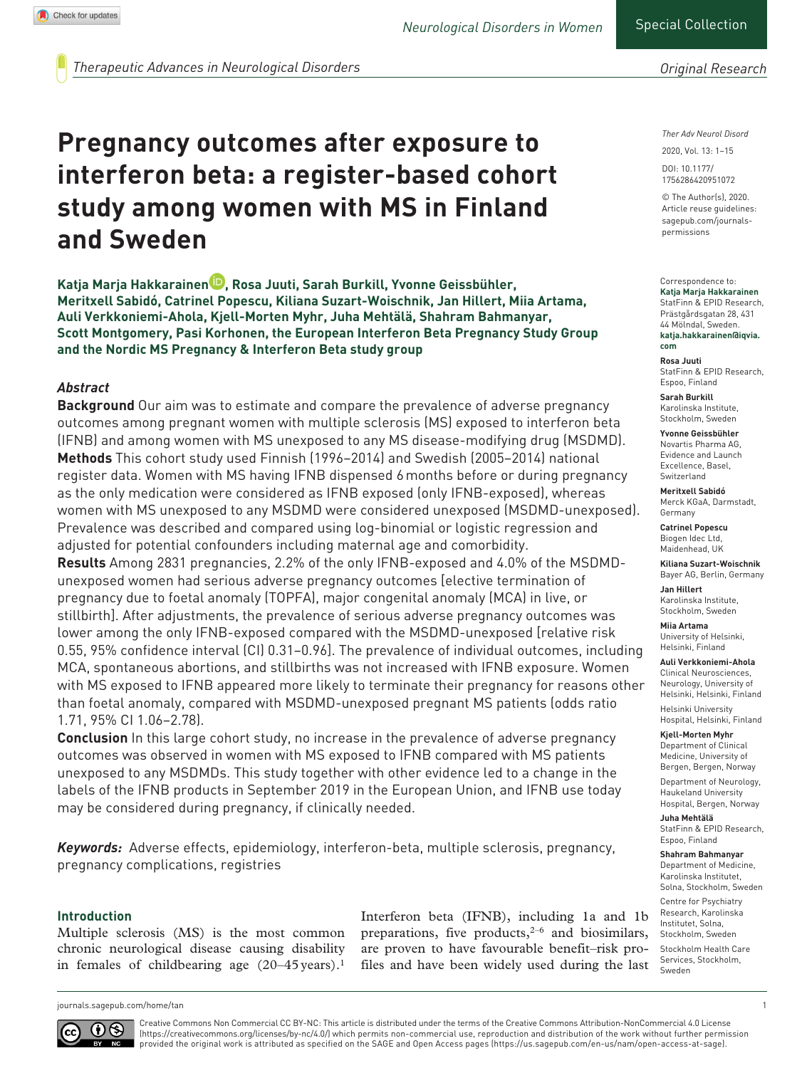*Original Research*

*Therapeutic Advances in Neurological Disorders*

# **Pregnancy outcomes after exposure to interferon beta: a register-based cohort study among women with MS in Finland and Sweden**

**Katja Marja Hakkarainen , Rosa Juuti, Sarah Burkill, Yvonne Geissbühler, Meritxell Sabidó, Catrinel Popescu, Kiliana Suzart-Woischnik, Jan Hillert, Miia Artama, Auli Verkkoniemi-Ahola, Kjell-Morten Myhr, Juha Mehtälä, Shahram Bahmanyar, Scott Montgomery, Pasi Korhonen, the European Interferon Beta Pregnancy Study Group and the Nordic MS Pregnancy & Interferon Beta study group** 

# *Abstract*

**Background** Our aim was to estimate and compare the prevalence of adverse pregnancy outcomes among pregnant women with multiple sclerosis (MS) exposed to interferon beta (IFNB) and among women with MS unexposed to any MS disease-modifying drug (MSDMD). **Methods** This cohort study used Finnish (1996–2014) and Swedish (2005–2014) national register data. Women with MS having IFNB dispensed 6months before or during pregnancy as the only medication were considered as IFNB exposed (only IFNB-exposed), whereas women with MS unexposed to any MSDMD were considered unexposed (MSDMD-unexposed). Prevalence was described and compared using log-binomial or logistic regression and adjusted for potential confounders including maternal age and comorbidity.

**Results** Among 2831 pregnancies, 2.2% of the only IFNB-exposed and 4.0% of the MSDMDunexposed women had serious adverse pregnancy outcomes [elective termination of pregnancy due to foetal anomaly (TOPFA), major congenital anomaly (MCA) in live, or stillbirth]. After adjustments, the prevalence of serious adverse pregnancy outcomes was lower among the only IFNB-exposed compared with the MSDMD-unexposed [relative risk 0.55, 95% confidence interval (CI) 0.31–0.96]. The prevalence of individual outcomes, including MCA, spontaneous abortions, and stillbirths was not increased with IFNB exposure. Women with MS exposed to IFNB appeared more likely to terminate their pregnancy for reasons other than foetal anomaly, compared with MSDMD-unexposed pregnant MS patients (odds ratio 1.71, 95% CI 1.06–2.78).

**Conclusion** In this large cohort study, no increase in the prevalence of adverse pregnancy outcomes was observed in women with MS exposed to IFNB compared with MS patients unexposed to any MSDMDs. This study together with other evidence led to a change in the labels of the IFNB products in September 2019 in the European Union, and IFNB use today may be considered during pregnancy, if clinically needed.

*Keywords:* Adverse effects, epidemiology, interferon-beta, multiple sclerosis, pregnancy, pregnancy complications, registries

#### **Introduction**

Multiple sclerosis (MS) is the most common chronic neurological disease causing disability in females of childbearing age  $(20-45 \text{ years})$ .<sup>1</sup>

Interferon beta (IFNB), including 1a and 1b preparations, five products,<sup>2-6</sup> and biosimilars, are proven to have favourable benefit–risk profiles and have been widely used during the last *Ther Adv Neurol Disord*

DOI: 10.1177/ 2020, Vol. 13: 1–15

© The Author(s), 2020. Article reuse guidelines: [sagepub.com/journals](https://uk.sagepub.com/en-gb/journals-permissions)[permissions](https://uk.sagepub.com/en-gb/journals-permissions)

1756286420951072

Correspondence to: **Katja Marja Hakkarainen** StatFinn & EPID Research, Prästgårdsgatan 28, 431 44 Mölndal, Sweden. **[katja.hakkarainen@iqvia.](mailto:Swedenkatja.hakkarainen@iqvia.com) [com](mailto:Swedenkatja.hakkarainen@iqvia.com)**

**Rosa Juuti** StatFinn & EPID Research, Espoo, Finland

**Sarah Burkill** Karolinska Institute, Stockholm, Sweden

**Yvonne Geissbühler** Novartis Pharma AG, Evidence and Launch Excellence, Basel, Switzerland

**Meritxell Sabidó** Merck KGaA, Darmstadt, Germany

**Catrinel Popescu** Biogen Idec Ltd, Maidenhead, UK

**Kiliana Suzart-Woischnik** Bayer AG, Berlin, Germany

**Jan Hillert** Karolinska Institute, Stockholm, Sweden

**Miia Artama** University of Helsinki, Helsinki, Finland

**Auli Verkkoniemi-Ahola** Clinical Neurosciences, Neurology, University of Helsinki, Helsinki, Finland

Helsinki University Hospital, Helsinki, Finland

**Kjell-Morten Myhr** Department of Clinical Medicine, University of Bergen, Bergen, Norway

Department of Neurology, Haukeland University Hospital, Bergen, Norway

**Juha Mehtälä** StatFinn & EPID Research, Espoo, Finland

**Shahram Bahmanyar** Department of Medicine, Karolinska Institutet,

Solna, Stockholm, Sweden Centre for Psychiatry Research, Karolinska

Institutet, Solna, Stockholm, Sweden Stockholm Health Care

Services, Stockholm, Sweden

[journals.sagepub.com/home/tan](https://journals.sagepub.com/home/tan) 1



Creative Commons Non Commercial CC BY-NC: This article is distributed under the terms of the Creative Commons Attribution-NonCommercial 4.0 License (https://creativecommons.org/licenses/by-nc/4.0/) which permits non-commercial use, reproduction and distribution of the work without further permission provided the original work is attributed as specified on the SAGE and Open Access pages (https://us.sagepub.com/en-us/nam/open-access-at-sage).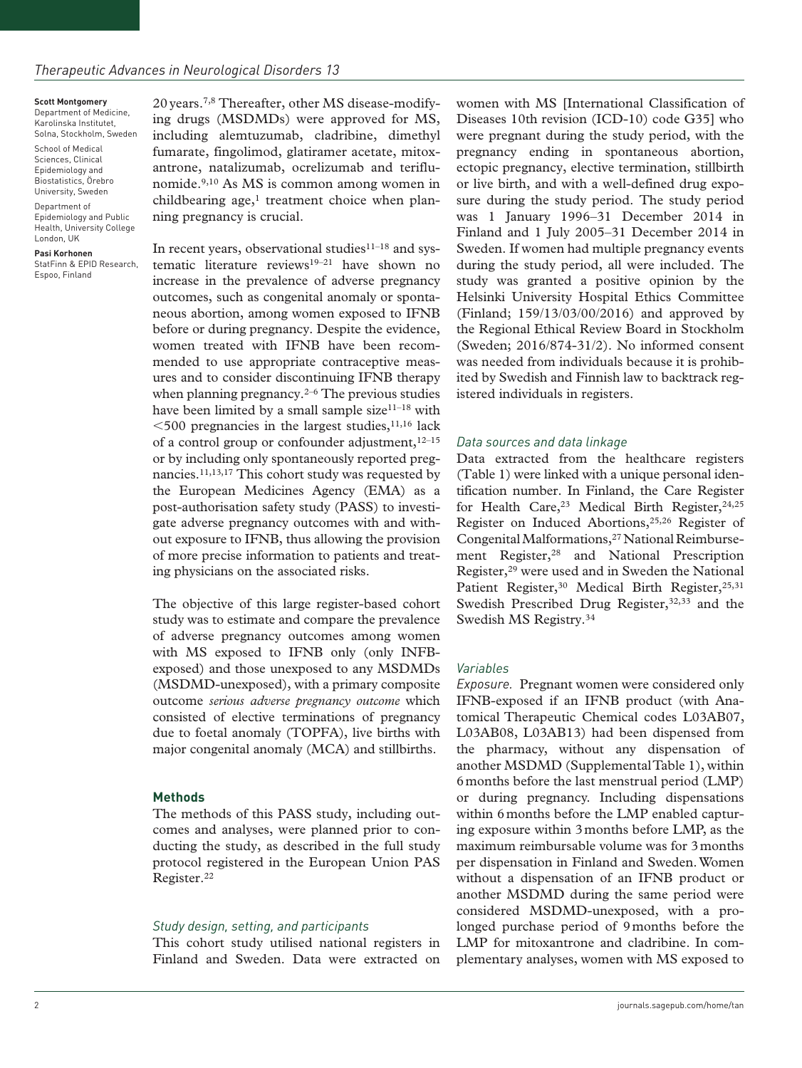#### **Scott Montgomery**

Department of Medicine, Karolinska Institutet, Solna, Stockholm, Sweden

School of Medical Sciences, Clinical Epidemiology and Biostatistics, Örebro

University, Sweden

Department of Epidemiology and Public Health, University College London, UK

**Pasi Korhonen** StatFinn & EPID Research, Espoo, Finland

20years.7,8 Thereafter, other MS disease-modifying drugs (MSDMDs) were approved for MS, including alemtuzumab, cladribine, dimethyl fumarate, fingolimod, glatiramer acetate, mitoxantrone, natalizumab, ocrelizumab and teriflunomide.9,10 As MS is common among women in childbearing age, $<sup>1</sup>$  treatment choice when plan-</sup> ning pregnancy is crucial.

In recent years, observational studies $11-18$  and systematic literature reviews<sup>19-21</sup> have shown no increase in the prevalence of adverse pregnancy outcomes, such as congenital anomaly or spontaneous abortion, among women exposed to IFNB before or during pregnancy. Despite the evidence, women treated with IFNB have been recommended to use appropriate contraceptive measures and to consider discontinuing IFNB therapy when planning pregnancy. $2-6$  The previous studies have been limited by a small sample size $11-18$  with  $<$  500 pregnancies in the largest studies, $^{11,16}$  lack of a control group or confounder adjustment,  $12-15$ or by including only spontaneously reported pregnancies.11,13,17 This cohort study was requested by the European Medicines Agency (EMA) as a post-authorisation safety study (PASS) to investigate adverse pregnancy outcomes with and without exposure to IFNB, thus allowing the provision of more precise information to patients and treating physicians on the associated risks.

The objective of this large register-based cohort study was to estimate and compare the prevalence of adverse pregnancy outcomes among women with MS exposed to IFNB only (only INFBexposed) and those unexposed to any MSDMDs (MSDMD-unexposed), with a primary composite outcome *serious adverse pregnancy outcome* which consisted of elective terminations of pregnancy due to foetal anomaly (TOPFA), live births with major congenital anomaly (MCA) and stillbirths.

#### **Methods**

The methods of this PASS study, including outcomes and analyses, were planned prior to conducting the study, as described in the full study protocol registered in the European Union PAS Register.22

#### *Study design, setting, and participants*

This cohort study utilised national registers in Finland and Sweden. Data were extracted on women with MS [International Classification of Diseases 10th revision (ICD-10) code G35] who were pregnant during the study period, with the pregnancy ending in spontaneous abortion, ectopic pregnancy, elective termination, stillbirth or live birth, and with a well-defined drug exposure during the study period. The study period was 1 January 1996–31 December 2014 in Finland and 1 July 2005–31 December 2014 in Sweden. If women had multiple pregnancy events during the study period, all were included. The study was granted a positive opinion by the Helsinki University Hospital Ethics Committee (Finland; 159/13/03/00/2016) and approved by the Regional Ethical Review Board in Stockholm (Sweden; 2016/874-31/2). No informed consent was needed from individuals because it is prohibited by Swedish and Finnish law to backtrack registered individuals in registers.

#### *Data sources and data linkage*

Data extracted from the healthcare registers (Table 1) were linked with a unique personal identification number. In Finland, the Care Register for Health Care,<sup>23</sup> Medical Birth Register,<sup>24,25</sup> Register on Induced Abortions,25,26 Register of Congenital Malformations,27 National Reimbursement Register,<sup>28</sup> and National Prescription Register,29 were used and in Sweden the National Patient Register,<sup>30</sup> Medical Birth Register,<sup>25,31</sup> Swedish Prescribed Drug Register, 32,33 and the Swedish MS Registry.34

#### *Variables*

*Exposure.* Pregnant women were considered only IFNB-exposed if an IFNB product (with Anatomical Therapeutic Chemical codes L03AB07, L03AB08, L03AB13) had been dispensed from the pharmacy, without any dispensation of another MSDMD (Supplemental Table 1), within 6months before the last menstrual period (LMP) or during pregnancy. Including dispensations within 6months before the LMP enabled capturing exposure within 3months before LMP, as the maximum reimbursable volume was for 3months per dispensation in Finland and Sweden. Women without a dispensation of an IFNB product or another MSDMD during the same period were considered MSDMD-unexposed, with a prolonged purchase period of 9months before the LMP for mitoxantrone and cladribine. In complementary analyses, women with MS exposed to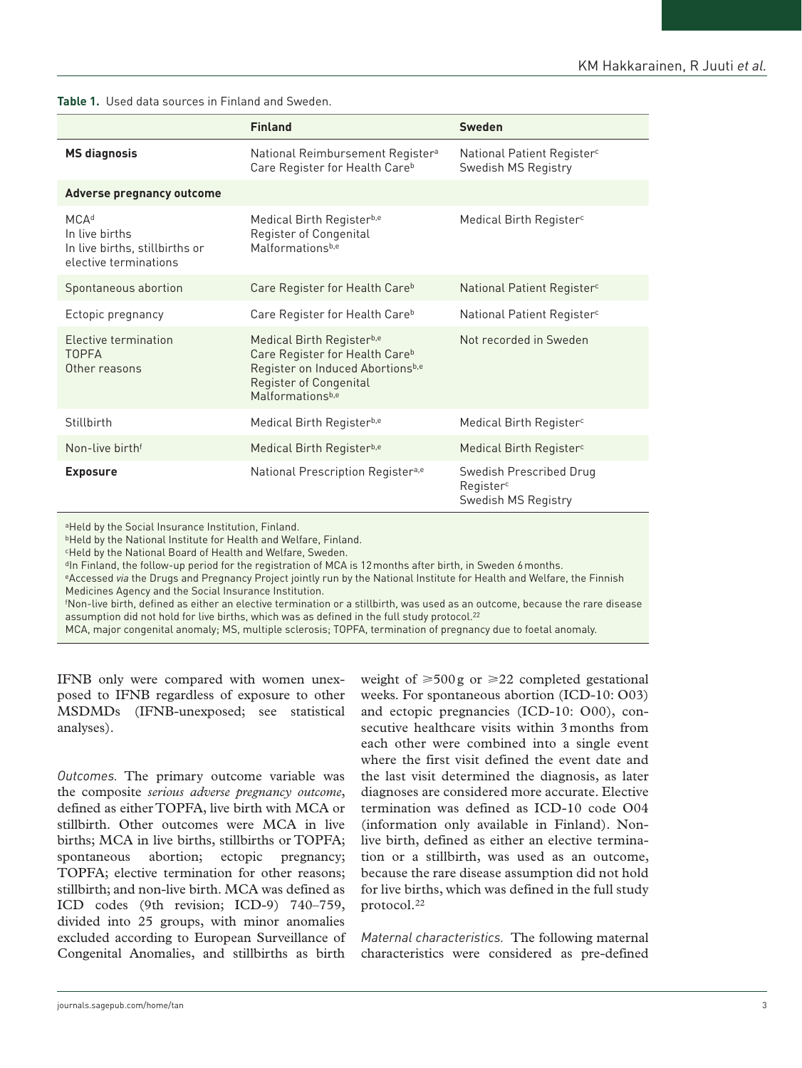#### **Table 1.** Used data sources in Finland and Sweden.

|                                                                                               | <b>Finland</b>                                                                                                                                                   | <b>Sweden</b>                                                 |  |  |
|-----------------------------------------------------------------------------------------------|------------------------------------------------------------------------------------------------------------------------------------------------------------------|---------------------------------------------------------------|--|--|
| <b>MS diagnosis</b>                                                                           | National Reimbursement Register <sup>a</sup><br>Care Register for Health Care <sup>b</sup>                                                                       | National Patient Register <sup>c</sup><br>Swedish MS Registry |  |  |
| Adverse pregnancy outcome                                                                     |                                                                                                                                                                  |                                                               |  |  |
| MCA <sup>d</sup><br>In live births<br>In live births, stillbirths or<br>elective terminations | Medical Birth Registerb,e<br>Register of Congenital<br>Malformationsb,e                                                                                          | Medical Birth Register <sup>c</sup>                           |  |  |
| Spontaneous abortion                                                                          | Care Register for Health Care <sup>b</sup>                                                                                                                       | National Patient Register <sup>c</sup>                        |  |  |
| Ectopic pregnancy                                                                             | Care Register for Health Careb                                                                                                                                   | National Patient Register <sup>c</sup>                        |  |  |
| <b>Elective termination</b><br><b>TOPFA</b><br>Other reasons                                  | Medical Birth Registerb,e<br>Care Register for Health Care <sup>b</sup><br>Register on Induced Abortionsb,e<br><b>Register of Congenital</b><br>Malformationsb,e | Not recorded in Sweden                                        |  |  |
| Stillbirth                                                                                    | Medical Birth Registerb,e                                                                                                                                        | Medical Birth Register <sup>c</sup>                           |  |  |
| Non-live birth <sup>f</sup>                                                                   | Medical Birth Registerb,e                                                                                                                                        | Medical Birth Register <sup>c</sup>                           |  |  |
| <b>Exposure</b>                                                                               | National Prescription Register <sup>a,e</sup><br>Swedish Prescribed Drug<br>Register <sup>c</sup><br>Swedish MS Registry                                         |                                                               |  |  |

aHeld by the Social Insurance Institution, Finland.

**bHeld by the National Institute for Health and Welfare, Finland.** 

cHeld by the National Board of Health and Welfare, Sweden.

<sup>d</sup>In Finland, the follow-up period for the registration of MCA is 12 months after birth, in Sweden 6 months.

eAccessed via the Drugs and Pregnancy Project jointly run by the National Institute for Health and Welfare, the Finnish Medicines Agency and the Social Insurance Institution.

f Non-live birth, defined as either an elective termination or a stillbirth, was used as an outcome, because the rare disease assumption did not hold for live births, which was as defined in the full study protocol.22

MCA, major congenital anomaly; MS, multiple sclerosis; TOPFA, termination of pregnancy due to foetal anomaly.

IFNB only were compared with women unexposed to IFNB regardless of exposure to other MSDMDs (IFNB-unexposed; see statistical analyses).

*Outcomes.* The primary outcome variable was the composite *serious adverse pregnancy outcome*, defined as either TOPFA, live birth with MCA or stillbirth. Other outcomes were MCA in live births; MCA in live births, stillbirths or TOPFA; spontaneous abortion; ectopic pregnancy; TOPFA; elective termination for other reasons; stillbirth; and non-live birth. MCA was defined as ICD codes (9th revision; ICD-9) 740–759, divided into 25 groups, with minor anomalies excluded according to European Surveillance of Congenital Anomalies, and stillbirths as birth weight of  $\geq 500$ g or  $\geq 22$  completed gestational weeks. For spontaneous abortion (ICD-10: O03) and ectopic pregnancies (ICD-10: O00), consecutive healthcare visits within 3 months from each other were combined into a single event where the first visit defined the event date and the last visit determined the diagnosis, as later diagnoses are considered more accurate. Elective termination was defined as ICD-10 code O04 (information only available in Finland). Nonlive birth, defined as either an elective termination or a stillbirth, was used as an outcome, because the rare disease assumption did not hold for live births, which was defined in the full study protocol.22

*Maternal characteristics.* The following maternal characteristics were considered as pre-defined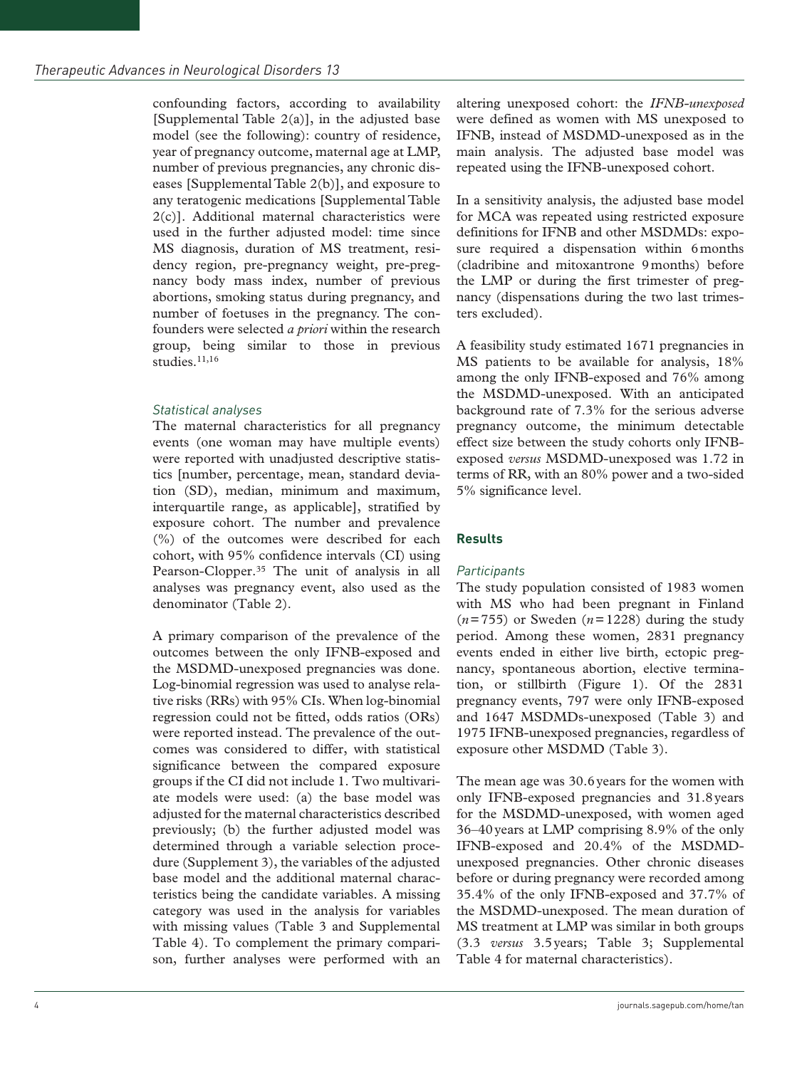confounding factors, according to availability [Supplemental Table 2(a)], in the adjusted base model (see the following): country of residence, year of pregnancy outcome, maternal age at LMP, number of previous pregnancies, any chronic diseases [Supplemental Table 2(b)], and exposure to any teratogenic medications [Supplemental Table 2(c)]. Additional maternal characteristics were used in the further adjusted model: time since MS diagnosis, duration of MS treatment, residency region, pre-pregnancy weight, pre-pregnancy body mass index, number of previous abortions, smoking status during pregnancy, and number of foetuses in the pregnancy. The confounders were selected *a priori* within the research group, being similar to those in previous studies.<sup>11,16</sup>

## *Statistical analyses*

The maternal characteristics for all pregnancy events (one woman may have multiple events) were reported with unadjusted descriptive statistics [number, percentage, mean, standard deviation (SD), median, minimum and maximum, interquartile range, as applicable], stratified by exposure cohort. The number and prevalence (%) of the outcomes were described for each cohort, with 95% confidence intervals (CI) using Pearson-Clopper.35 The unit of analysis in all analyses was pregnancy event, also used as the denominator (Table 2).

A primary comparison of the prevalence of the outcomes between the only IFNB-exposed and the MSDMD-unexposed pregnancies was done. Log-binomial regression was used to analyse relative risks (RRs) with 95% CIs. When log-binomial regression could not be fitted, odds ratios (ORs) were reported instead. The prevalence of the outcomes was considered to differ, with statistical significance between the compared exposure groups if the CI did not include 1. Two multivariate models were used: (a) the base model was adjusted for the maternal characteristics described previously; (b) the further adjusted model was determined through a variable selection procedure (Supplement 3), the variables of the adjusted base model and the additional maternal characteristics being the candidate variables. A missing category was used in the analysis for variables with missing values (Table 3 and Supplemental Table 4). To complement the primary comparison, further analyses were performed with an altering unexposed cohort: the *IFNB-unexposed* were defined as women with MS unexposed to IFNB, instead of MSDMD-unexposed as in the main analysis. The adjusted base model was repeated using the IFNB-unexposed cohort.

In a sensitivity analysis, the adjusted base model for MCA was repeated using restricted exposure definitions for IFNB and other MSDMDs: exposure required a dispensation within 6months (cladribine and mitoxantrone 9months) before the LMP or during the first trimester of pregnancy (dispensations during the two last trimesters excluded).

A feasibility study estimated 1671 pregnancies in MS patients to be available for analysis, 18% among the only IFNB-exposed and 76% among the MSDMD-unexposed. With an anticipated background rate of 7.3% for the serious adverse pregnancy outcome, the minimum detectable effect size between the study cohorts only IFNBexposed *versus* MSDMD-unexposed was 1.72 in terms of RR, with an 80% power and a two-sided 5% significance level.

# **Results**

## *Participants*

The study population consisted of 1983 women with MS who had been pregnant in Finland  $(n=755)$  or Sweden  $(n=1228)$  during the study period. Among these women, 2831 pregnancy events ended in either live birth, ectopic pregnancy, spontaneous abortion, elective termination, or stillbirth (Figure 1). Of the 2831 pregnancy events, 797 were only IFNB-exposed and 1647 MSDMDs-unexposed (Table 3) and 1975 IFNB-unexposed pregnancies, regardless of exposure other MSDMD (Table 3).

The mean age was 30.6years for the women with only IFNB-exposed pregnancies and 31.8years for the MSDMD-unexposed, with women aged 36–40years at LMP comprising 8.9% of the only IFNB-exposed and 20.4% of the MSDMDunexposed pregnancies. Other chronic diseases before or during pregnancy were recorded among 35.4% of the only IFNB-exposed and 37.7% of the MSDMD-unexposed. The mean duration of MS treatment at LMP was similar in both groups (3.3 *versus* 3.5years; Table 3; Supplemental Table 4 for maternal characteristics).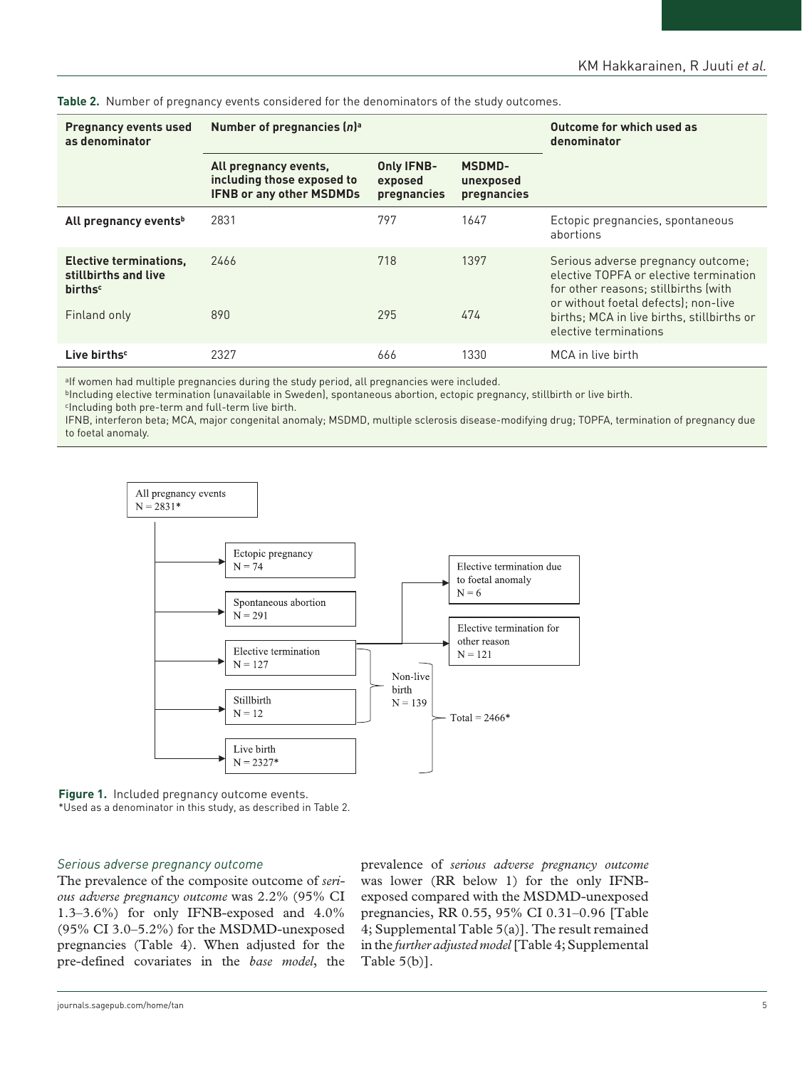| <b>Pregnancy events used</b><br>as denominator                                      | Number of pregnancies $(n)$ <sup>a</sup>                                               | Outcome for which used as<br>denominator    |                                           |                                                                                                                                                              |  |
|-------------------------------------------------------------------------------------|----------------------------------------------------------------------------------------|---------------------------------------------|-------------------------------------------|--------------------------------------------------------------------------------------------------------------------------------------------------------------|--|
|                                                                                     | All pregnancy events,<br>including those exposed to<br><b>IFNB or any other MSDMDs</b> | <b>Only IFNB-</b><br>exposed<br>pregnancies | <b>MSDMD-</b><br>unexposed<br>pregnancies |                                                                                                                                                              |  |
| All pregnancy events <sup>b</sup>                                                   | 2831                                                                                   | 797                                         | 1647                                      | Ectopic pregnancies, spontaneous<br>abortions                                                                                                                |  |
| <b>Elective terminations,</b><br>stillbirths and live<br><b>births</b> <sup>c</sup> | 2466                                                                                   | 718                                         | 1397                                      | Serious adverse pregnancy outcome;<br>elective TOPFA or elective termination<br>for other reasons; stillbirths (with<br>or without foetal defects): non-live |  |
| Finland only                                                                        | 890                                                                                    | 295                                         | 474                                       | births; MCA in live births, stillbirths or<br>elective terminations                                                                                          |  |
| Live births <sup>c</sup>                                                            | 2327                                                                                   | 666                                         | 1330                                      | MCA in live birth                                                                                                                                            |  |

**Table 2.** Number of pregnancy events considered for the denominators of the study outcomes.

aIf women had multiple pregnancies during the study period, all pregnancies were included.

**bIncluding elective termination (unavailable in Sweden), spontaneous abortion, ectopic pregnancy, stillbirth or live birth.** 

cIncluding both pre-term and full-term live birth.

IFNB, interferon beta; MCA, major congenital anomaly; MSDMD, multiple sclerosis disease-modifying drug; TOPFA, termination of pregnancy due to foetal anomaly.



**Figure 1.** Included pregnancy outcome events. \*Used as a denominator in this study, as described in Table 2.

#### *Serious adverse pregnancy outcome*

The prevalence of the composite outcome of *serious adverse pregnancy outcome* was 2.2% (95% CI 1.3–3.6%) for only IFNB-exposed and 4.0% (95% CI 3.0–5.2%) for the MSDMD-unexposed pregnancies (Table 4). When adjusted for the pre-defined covariates in the *base model*, the prevalence of *serious adverse pregnancy outcome* was lower (RR below 1) for the only IFNBexposed compared with the MSDMD-unexposed pregnancies, RR 0.55, 95% CI 0.31–0.96 [Table 4; Supplemental Table 5(a)]. The result remained in the *further adjusted model* [Table 4; Supplemental Table 5(b)].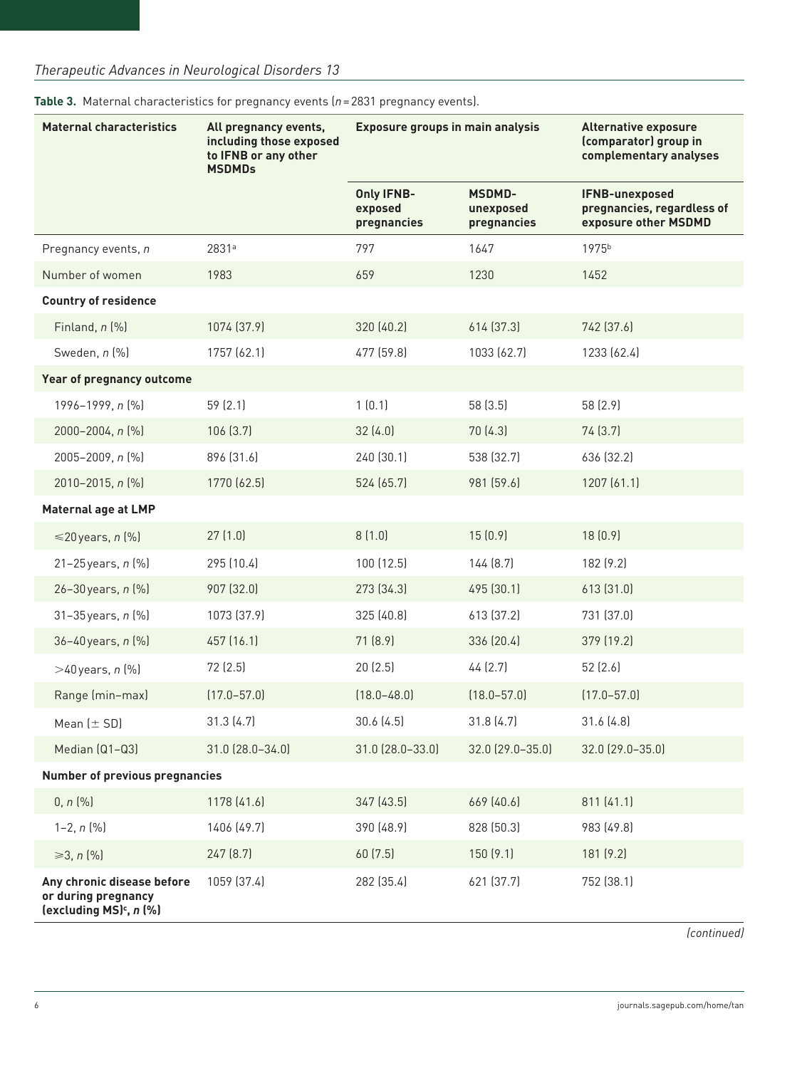| <b>Maternal characteristics</b>                                                          | All pregnancy events,<br>including those exposed<br>to IFNB or any other<br><b>MSDMDs</b> | <b>Exposure groups in main analysis</b>     |                                           | <b>Alternative exposure</b><br>(comparator) group in<br>complementary analyses |  |
|------------------------------------------------------------------------------------------|-------------------------------------------------------------------------------------------|---------------------------------------------|-------------------------------------------|--------------------------------------------------------------------------------|--|
|                                                                                          |                                                                                           | <b>Only IFNB-</b><br>exposed<br>pregnancies | <b>MSDMD-</b><br>unexposed<br>pregnancies | <b>IFNB-unexposed</b><br>pregnancies, regardless of<br>exposure other MSDMD    |  |
| Pregnancy events, n                                                                      | 2831ª                                                                                     | 797                                         | 1647                                      | 1975b                                                                          |  |
| Number of women                                                                          | 1983                                                                                      | 659                                         | 1230                                      | 1452                                                                           |  |
| <b>Country of residence</b>                                                              |                                                                                           |                                             |                                           |                                                                                |  |
| Finland, $n$ $%$                                                                         | 1074 (37.9)                                                                               | 320 (40.2)                                  | 614 (37.3)                                | 742 (37.6)                                                                     |  |
| Sweden, n (%)                                                                            | 1757 (62.1)                                                                               | 477 (59.8)                                  | 1033 (62.7)                               | 1233 (62.4)                                                                    |  |
| Year of pregnancy outcome                                                                |                                                                                           |                                             |                                           |                                                                                |  |
| 1996-1999, n (%)                                                                         | 59 (2.1)                                                                                  | 1(0.1)                                      | 58 (3.5)                                  | 58 (2.9)                                                                       |  |
| 2000-2004, n (%)                                                                         | 106(3.7)                                                                                  | 32(4.0)                                     | 70 (4.3)                                  | 74 (3.7)                                                                       |  |
| 2005-2009, n (%)                                                                         | 896 (31.6)                                                                                | 240 (30.1)                                  | 538 (32.7)                                | 636 (32.2)                                                                     |  |
| 2010-2015, n (%)                                                                         | 1770 (62.5)                                                                               | 524 (65.7)                                  | 981 (59.6)                                | 1207 (61.1)                                                                    |  |
| Maternal age at LMP                                                                      |                                                                                           |                                             |                                           |                                                                                |  |
| $\leq 20$ years, n $[\%]$                                                                | 27(1.0)                                                                                   | 8(1.0)                                      | 15(0.9)                                   | 18(0.9)                                                                        |  |
| 21-25 years, n (%)                                                                       | 295 (10.4)                                                                                | 100 (12.5)                                  | 144 (8.7)                                 | 182 (9.2)                                                                      |  |
| 26-30 years, n (%)                                                                       | 907 (32.0)                                                                                | 273 (34.3)                                  | 495 (30.1)                                | 613 (31.0)                                                                     |  |
| 31-35 years, n (%)                                                                       | 1073 (37.9)                                                                               | 325 (40.8)                                  | 613 (37.2)                                | 731 (37.0)                                                                     |  |
| 36-40 years, n (%)                                                                       | 457 (16.1)                                                                                | 71 (8.9)                                    | 336 (20.4)                                | 379 (19.2)                                                                     |  |
| $>40$ years, n $[%]$                                                                     | 72 (2.5)                                                                                  | 20(2.5)                                     | 44 (2.7)                                  | 52 (2.6)                                                                       |  |
| Range (min-max)                                                                          | $(17.0 - 57.0)$                                                                           | $(18.0 - 48.0)$                             | $(18.0 - 57.0)$                           | $(17.0 - 57.0)$                                                                |  |
| Mean $(\pm$ SD)                                                                          | 31.3(4.7)                                                                                 | 30.6(4.5)                                   | 31.8(4.7)                                 | 31.6(4.8)                                                                      |  |
| Median (Q1-Q3)                                                                           | 31.0 (28.0-34.0)                                                                          | 31.0 (28.0-33.0)                            | 32.0 (29.0-35.0)                          | 32.0 (29.0-35.0)                                                               |  |
| <b>Number of previous pregnancies</b>                                                    |                                                                                           |                                             |                                           |                                                                                |  |
| $0, n$ $(\% )$                                                                           | 1178 (41.6)                                                                               | 347 (43.5)                                  | 669 (40.6)                                | 811 (41.1)                                                                     |  |
| $1-2, n$ $\lceil \% \rceil$                                                              | 1406 (49.7)                                                                               | 390 (48.9)                                  | 828 (50.3)                                | 983 (49.8)                                                                     |  |
| ≥3, <i>n</i> $[%]$                                                                       | 247 (8.7)                                                                                 | 60 (7.5)                                    | 150(9.1)                                  | 181 (9.2)                                                                      |  |
| Any chronic disease before<br>or during pregnancy<br>(excluding MS) <sup>c</sup> , n (%) | 1059 (37.4)                                                                               | 282 (35.4)                                  | 621 (37.7)                                | 752 (38.1)                                                                     |  |

**Table 3.** Maternal characteristics for pregnancy events (*n*=2831 pregnancy events).

*(continued)*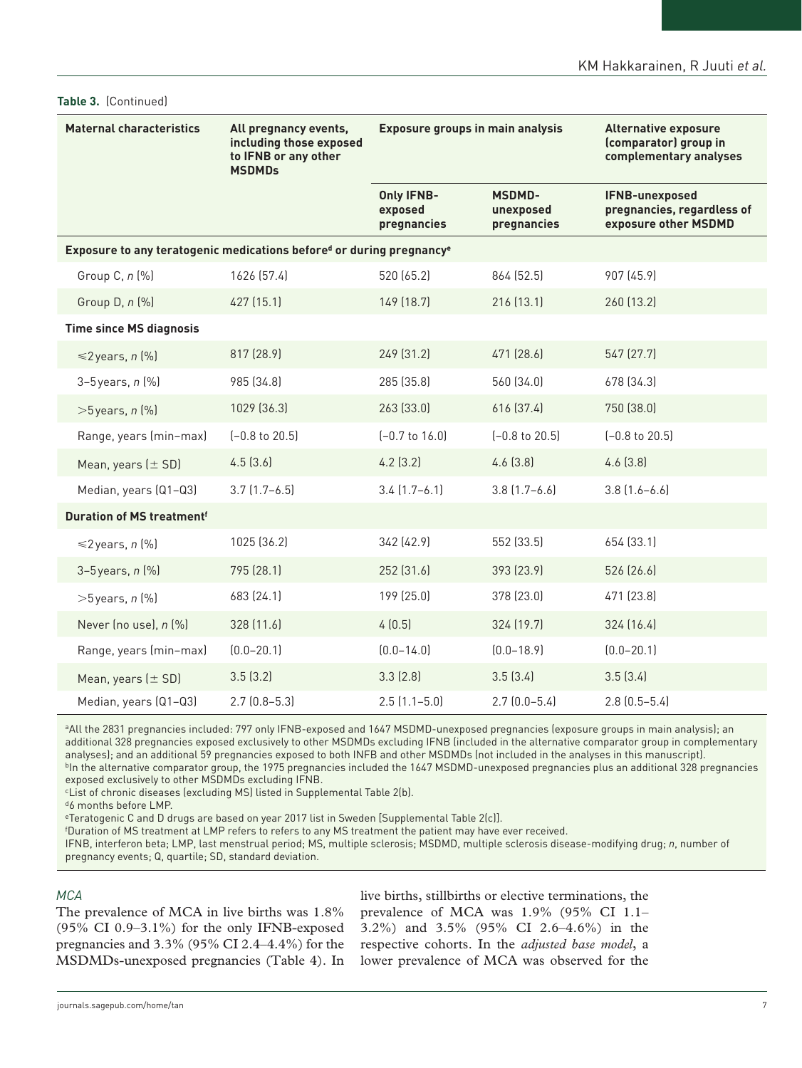| <b>Maternal characteristics</b>                                                  | All pregnancy events,<br>including those exposed<br>to IFNB or any other<br><b>MSDMDs</b> | <b>Exposure groups in main analysis</b>     |                                           | <b>Alternative exposure</b><br>(comparator) group in<br>complementary analyses |  |
|----------------------------------------------------------------------------------|-------------------------------------------------------------------------------------------|---------------------------------------------|-------------------------------------------|--------------------------------------------------------------------------------|--|
|                                                                                  |                                                                                           | <b>Only IFNB-</b><br>exposed<br>pregnancies | <b>MSDMD-</b><br>unexposed<br>pregnancies | IFNB-unexposed<br>pregnancies, regardless of<br>exposure other MSDMD           |  |
| Exposure to any teratogenic medications befored or during pregnancy <sup>e</sup> |                                                                                           |                                             |                                           |                                                                                |  |
| Group C, n (%)                                                                   | 1626 (57.4)                                                                               | 520 (65.2)                                  | 864 (52.5)                                | 907 (45.9)                                                                     |  |
| Group D, n (%)                                                                   | 427 (15.1)                                                                                | 149 (18.7)                                  | 216 (13.1)                                | 260 (13.2)                                                                     |  |
| <b>Time since MS diagnosis</b>                                                   |                                                                                           |                                             |                                           |                                                                                |  |
| $\leq 2$ years, n (%)                                                            | 817 (28.9)                                                                                | 249 (31.2)                                  | 471 (28.6)                                | 547 (27.7)                                                                     |  |
| $3-5$ years, $n$ $%$                                                             | 985 (34.8)                                                                                | 285 (35.8)                                  | 560 (34.0)                                | 678 (34.3)                                                                     |  |
| $>5$ years, n $\left[\% \right]$                                                 | 1029 (36.3)                                                                               | 263 (33.0)                                  | 616 (37.4)                                | 750 (38.0)                                                                     |  |
| Range, years (min-max)                                                           | $[-0.8 \text{ to } 20.5]$                                                                 | $[-0.7$ to $16.0]$                          | $[-0.8 \text{ to } 20.5]$                 | $[-0.8 \text{ to } 20.5]$                                                      |  |
| Mean, years $(\pm$ SD)                                                           | 4.5(3.6)                                                                                  | $4.2$ (3.2)                                 | 4.6(3.8)                                  | 4.6(3.8)                                                                       |  |
| Median, years (Q1-Q3)                                                            | $3.7$ $(1.7 - 6.5)$                                                                       | $3.4$ $(1.7-6.1)$                           | $3.8$ $(1.7 - 6.6)$                       | $3.8$ $(1.6 - 6.6)$                                                            |  |
| <b>Duration of MS treatmentf</b>                                                 |                                                                                           |                                             |                                           |                                                                                |  |
| $\leq 2$ years, n (%)                                                            | 1025 (36.2)                                                                               | 342 (42.9)                                  | 552 (33.5)                                | 654 (33.1)                                                                     |  |
| $3-5$ years, $n$ $%$                                                             | 795 (28.1)                                                                                | 252 (31.6)                                  | 393 (23.9)                                | 526 (26.6)                                                                     |  |
| $>5$ years, n $(\% )$                                                            | 683 (24.1)                                                                                | 199 (25.0)                                  | 378 (23.0)                                | 471 (23.8)                                                                     |  |
| Never (no use), n (%)                                                            | 328 (11.6)                                                                                | 4(0.5)                                      | 324 (19.7)                                | 324 (16.4)                                                                     |  |
| Range, years (min-max)                                                           | $(0.0 - 20.1)$                                                                            | $(0.0 - 14.0)$                              | $(0.0 - 18.9)$                            | $(0.0 - 20.1)$                                                                 |  |
| Mean, years $(\pm$ SD)                                                           | 3.5(3.2)                                                                                  | 3.3(2.8)                                    | 3.5(3.4)                                  | 3.5(3.4)                                                                       |  |
| Median, years (Q1-Q3)                                                            | $2.7$ $(0.8 - 5.3)$                                                                       | $2.5(1.1 - 5.0)$                            | $2.7(0.0-5.4)$                            | $2.8$ $(0.5 - 5.4)$                                                            |  |

#### **Table 3.** (Continued)

<sup>a</sup>All the 2831 pregnancies included: 797 only IFNB-exposed and 1647 MSDMD-unexposed pregnancies (exposure groups in main analysis); an additional 328 pregnancies exposed exclusively to other MSDMDs excluding IFNB (included in the alternative comparator group in complementary analyses); and an additional 59 pregnancies exposed to both INFB and other MSDMDs (not included in the analyses in this manuscript). bIn the alternative comparator group, the 1975 pregnancies included the 1647 MSDMD-unexposed pregnancies plus an additional 328 pregnancies exposed exclusively to other MSDMDs excluding IFNB.

cList of chronic diseases (excluding MS) listed in Supplemental Table 2(b).

d6 months before LMP.

eTeratogenic C and D drugs are based on year 2017 list in Sweden [Supplemental Table 2(c)].

f Duration of MS treatment at LMP refers to refers to any MS treatment the patient may have ever received.

IFNB, interferon beta; LMP, last menstrual period; MS, multiple sclerosis; MSDMD, multiple sclerosis disease-modifying drug; *n*, number of pregnancy events; Q, quartile; SD, standard deviation.

## *MCA*

The prevalence of MCA in live births was 1.8%  $(95\% \text{ CI } 0.9-3.1\%)$  for the only IFNB-exposed pregnancies and 3.3% (95% CI 2.4–4.4%) for the MSDMDs-unexposed pregnancies (Table 4). In live births, stillbirths or elective terminations, the prevalence of MCA was 1.9% (95% CI 1.1– 3.2%) and 3.5% (95% CI 2.6–4.6%) in the respective cohorts. In the *adjusted base model*, a lower prevalence of MCA was observed for the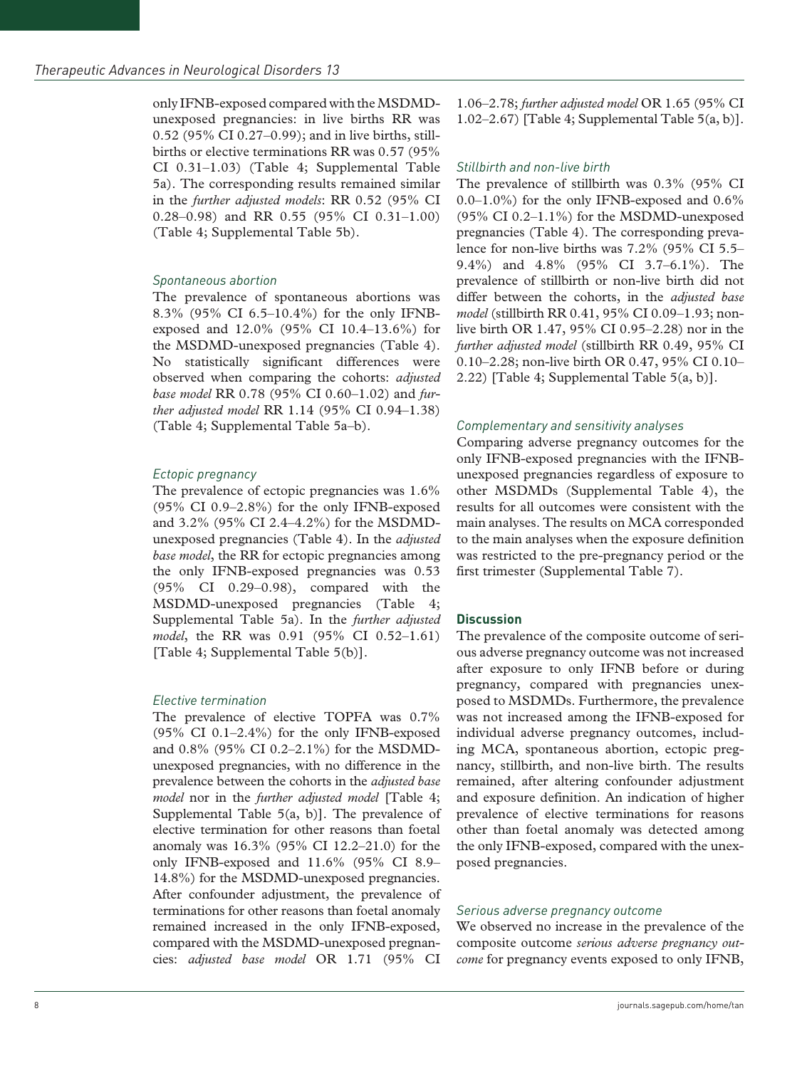only IFNB-exposed compared with the MSDMDunexposed pregnancies: in live births RR was 0.52 (95% CI 0.27–0.99); and in live births, stillbirths or elective terminations RR was 0.57 (95% CI 0.31–1.03) (Table 4; Supplemental Table 5a). The corresponding results remained similar in the *further adjusted models*: RR 0.52 (95% CI 0.28–0.98) and RR 0.55 (95% CI 0.31–1.00) (Table 4; Supplemental Table 5b).

#### *Spontaneous abortion*

The prevalence of spontaneous abortions was 8.3% (95% CI 6.5–10.4%) for the only IFNBexposed and 12.0% (95% CI 10.4–13.6%) for the MSDMD-unexposed pregnancies (Table 4). No statistically significant differences were observed when comparing the cohorts: *adjusted base model* RR 0.78 (95% CI 0.60–1.02) and *further adjusted model* RR 1.14 (95% CI 0.94–1.38) (Table 4; Supplemental Table 5a–b).

## *Ectopic pregnancy*

The prevalence of ectopic pregnancies was 1.6% (95% CI 0.9–2.8%) for the only IFNB-exposed and 3.2% (95% CI 2.4–4.2%) for the MSDMDunexposed pregnancies (Table 4). In the *adjusted base model*, the RR for ectopic pregnancies among the only IFNB-exposed pregnancies was 0.53 (95% CI 0.29–0.98), compared with the MSDMD-unexposed pregnancies (Table 4; Supplemental Table 5a). In the *further adjusted model*, the RR was 0.91 (95% CI 0.52–1.61) [Table 4; Supplemental Table 5(b)].

## *Elective termination*

The prevalence of elective TOPFA was 0.7%  $(95\% \text{ CI } 0.1-2.4\%)$  for the only IFNB-exposed and 0.8% (95% CI 0.2–2.1%) for the MSDMDunexposed pregnancies, with no difference in the prevalence between the cohorts in the *adjusted base model* nor in the *further adjusted model* [Table 4; Supplemental Table 5(a, b)]. The prevalence of elective termination for other reasons than foetal anomaly was 16.3% (95% CI 12.2–21.0) for the only IFNB-exposed and 11.6% (95% CI 8.9– 14.8%) for the MSDMD-unexposed pregnancies. After confounder adjustment, the prevalence of terminations for other reasons than foetal anomaly remained increased in the only IFNB-exposed, compared with the MSDMD-unexposed pregnancies: *adjusted base model* OR 1.71 (95% CI

1.06–2.78; *further adjusted model* OR 1.65 (95% CI 1.02–2.67) [Table 4; Supplemental Table 5(a, b)].

#### *Stillbirth and non-live birth*

The prevalence of stillbirth was 0.3% (95% CI 0.0–1.0%) for the only IFNB-exposed and 0.6%  $(95\% \text{ CI } 0.2-1.1\%)$  for the MSDMD-unexposed pregnancies (Table 4). The corresponding prevalence for non-live births was 7.2% (95% CI 5.5– 9.4%) and 4.8% (95% CI 3.7–6.1%). The prevalence of stillbirth or non-live birth did not differ between the cohorts, in the *adjusted base model* (stillbirth RR 0.41, 95% CI 0.09–1.93; nonlive birth OR 1.47, 95% CI 0.95–2.28) nor in the *further adjusted model* (stillbirth RR 0.49, 95% CI 0.10–2.28; non-live birth OR 0.47, 95% CI 0.10– 2.22) [Table 4; Supplemental Table 5(a, b)].

## *Complementary and sensitivity analyses*

Comparing adverse pregnancy outcomes for the only IFNB-exposed pregnancies with the IFNBunexposed pregnancies regardless of exposure to other MSDMDs (Supplemental Table 4), the results for all outcomes were consistent with the main analyses. The results on MCA corresponded to the main analyses when the exposure definition was restricted to the pre-pregnancy period or the first trimester (Supplemental Table 7).

## **Discussion**

The prevalence of the composite outcome of serious adverse pregnancy outcome was not increased after exposure to only IFNB before or during pregnancy, compared with pregnancies unexposed to MSDMDs. Furthermore, the prevalence was not increased among the IFNB-exposed for individual adverse pregnancy outcomes, including MCA, spontaneous abortion, ectopic pregnancy, stillbirth, and non-live birth. The results remained, after altering confounder adjustment and exposure definition. An indication of higher prevalence of elective terminations for reasons other than foetal anomaly was detected among the only IFNB-exposed, compared with the unexposed pregnancies.

#### *Serious adverse pregnancy outcome*

We observed no increase in the prevalence of the composite outcome *serious adverse pregnancy outcome* for pregnancy events exposed to only IFNB,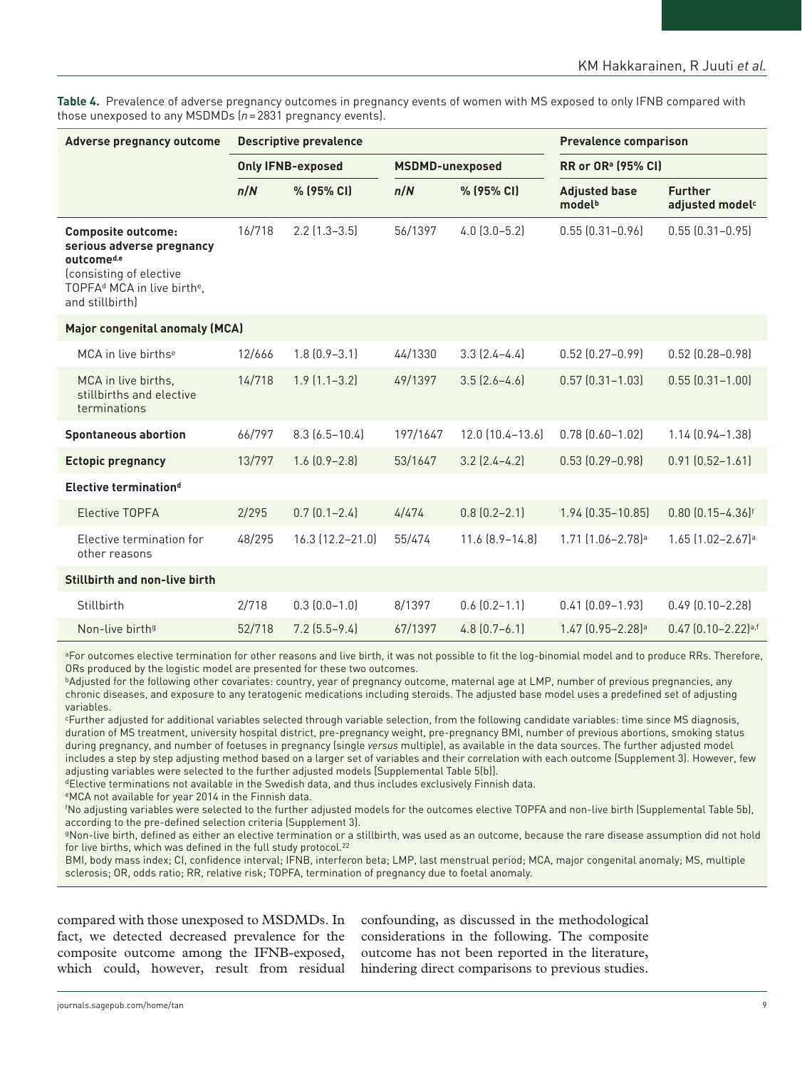**Table 4.** Prevalence of adverse pregnancy outcomes in pregnancy events of women with MS exposed to only IFNB compared with those unexposed to any MSDMDs (*n*=2831 pregnancy events).

| Adverse pregnancy outcome                                                                                                                                                 | <b>Descriptive prevalence</b>                      |                      |          |                                       | <b>Prevalence comparison</b>               |                                               |
|---------------------------------------------------------------------------------------------------------------------------------------------------------------------------|----------------------------------------------------|----------------------|----------|---------------------------------------|--------------------------------------------|-----------------------------------------------|
|                                                                                                                                                                           | <b>Only IFNB-exposed</b><br><b>MSDMD-unexposed</b> |                      |          | <b>RR or OR</b> <sup>a</sup> (95% CI) |                                            |                                               |
|                                                                                                                                                                           | n/N                                                | % (95% CI)           | n/N      | % (95% CI)                            | <b>Adjusted base</b><br>model <sup>b</sup> | <b>Further</b><br>adjusted model <sup>c</sup> |
| <b>Composite outcome:</b><br>serious adverse pregnancy<br>outcomed,e<br>(consisting of elective<br>TOPFA <sup>d</sup> MCA in live birth <sup>e</sup> ,<br>and stillbirth) | 16/718                                             | $2.2$ (1.3-3.5)      | 56/1397  | $4.0$ $(3.0 - 5.2)$                   | $0.55$ $[0.31 - 0.96]$                     | $0.55$ $(0.31 - 0.95)$                        |
| Major congenital anomaly (MCA)                                                                                                                                            |                                                    |                      |          |                                       |                                            |                                               |
| MCA in live births <sup>e</sup>                                                                                                                                           | 12/666                                             | $1.8$ $[0.9 - 3.1]$  | 44/1330  | $3.3$ $(2.4-4.4)$                     | $0.52$ $(0.27 - 0.99)$                     | $0.52$ $(0.28 - 0.98)$                        |
| MCA in live births,<br>stillbirths and elective<br>terminations                                                                                                           | 14/718                                             | $1.9$ $(1.1 - 3.2)$  | 49/1397  | $3.5$ $[2.6 - 4.6]$                   | $0.57$ $(0.31 - 1.03)$                     | $0.55$ $(0.31 - 1.00)$                        |
| <b>Spontaneous abortion</b>                                                                                                                                               | 66/797                                             | $8.3$ $(6.5 - 10.4)$ | 197/1647 | 12.0 (10.4-13.6)                      | $0.78$ $[0.60 - 1.02]$                     | 1.14 (0.94-1.38)                              |
| <b>Ectopic pregnancy</b>                                                                                                                                                  | 13/797                                             | $1.6$ $(0.9 - 2.8)$  | 53/1647  | $3.2$ $(2.4-4.2)$                     | $0.53$ $(0.29 - 0.98)$                     | $0.91$ $(0.52 - 1.61)$                        |
| Elective termination <sup>d</sup>                                                                                                                                         |                                                    |                      |          |                                       |                                            |                                               |
| <b>Elective TOPFA</b>                                                                                                                                                     | 2/295                                              | $0.7$ $(0.1 - 2.4)$  | 4/474    | $0.8$ $(0.2 - 2.1)$                   | $1.94$ $(0.35 - 10.85)$                    | $0.80$ $(0.15 - 4.36)$ <sup>f</sup>           |
| Elective termination for<br>other reasons                                                                                                                                 | 48/295                                             | 16.3 (12.2-21.0)     | 55/474   | $11.6 [8.9 - 14.8]$                   | 1.71 (1.06-2.78) <sup>a</sup>              | 1.65 (1.02-2.67) <sup>a</sup>                 |
| <b>Stillbirth and non-live birth</b>                                                                                                                                      |                                                    |                      |          |                                       |                                            |                                               |
| Stillbirth                                                                                                                                                                | 2/718                                              | $0.3(0.0-1.0)$       | 8/1397   | $0.6$ $(0.2 - 1.1)$                   | $0.41$ $(0.09 - 1.93)$                     | $0.49$ $(0.10 - 2.28)$                        |
| Non-live birth <sup>9</sup>                                                                                                                                               | 52/718                                             | $7.2$ $(5.5-9.4)$    | 67/1397  | $4.8$ $[0.7 - 6.1]$                   | $1.47$ $[0.95 - 2.28]$ <sup>a</sup>        | $0.47$ $[0.10 - 2.22]$ <sup>a,f</sup>         |

<sup>a</sup>For outcomes elective termination for other reasons and live birth, it was not possible to fit the log-binomial model and to produce RRs. Therefore, ORs produced by the logistic model are presented for these two outcomes.

**bAdjusted for the following other covariates: country, year of pregnancy outcome, maternal age at LMP, number of previous pregnancies, any** chronic diseases, and exposure to any teratogenic medications including steroids. The adjusted base model uses a predefined set of adjusting variables.

cFurther adjusted for additional variables selected through variable selection, from the following candidate variables: time since MS diagnosis, duration of MS treatment, university hospital district, pre-pregnancy weight, pre-pregnancy BMI, number of previous abortions, smoking status during pregnancy, and number of foetuses in pregnancy (single *versus* multiple), as available in the data sources. The further adjusted model includes a step by step adjusting method based on a larger set of variables and their correlation with each outcome (Supplement 3). However, few adjusting variables were selected to the further adjusted models [Supplemental Table 5(b)].

dElective terminations not available in the Swedish data, and thus includes exclusively Finnish data.

eMCA not available for year 2014 in the Finnish data.

f No adjusting variables were selected to the further adjusted models for the outcomes elective TOPFA and non-live birth (Supplemental Table 5b), according to the pre-defined selection criteria (Supplement 3).

gNon-live birth, defined as either an elective termination or a stillbirth, was used as an outcome, because the rare disease assumption did not hold for live births, which was defined in the full study protocol.<sup>22</sup>

BMI, body mass index; CI, confidence interval; IFNB, interferon beta; LMP, last menstrual period; MCA, major congenital anomaly; MS, multiple sclerosis; OR, odds ratio; RR, relative risk; TOPFA, termination of pregnancy due to foetal anomaly.

compared with those unexposed to MSDMDs. In fact, we detected decreased prevalence for the composite outcome among the IFNB-exposed, which could, however, result from residual

confounding, as discussed in the methodological considerations in the following. The composite outcome has not been reported in the literature, hindering direct comparisons to previous studies.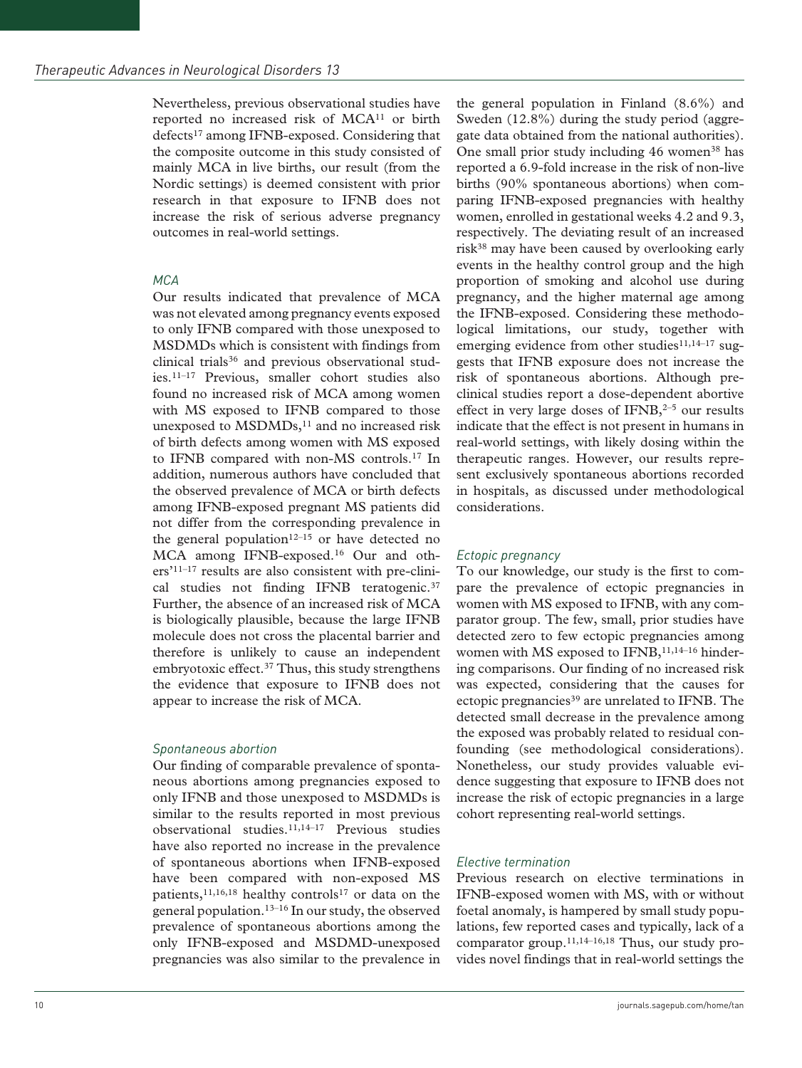Nevertheless, previous observational studies have reported no increased risk of MCA11 or birth defects17 among IFNB-exposed. Considering that the composite outcome in this study consisted of mainly MCA in live births, our result (from the Nordic settings) is deemed consistent with prior research in that exposure to IFNB does not increase the risk of serious adverse pregnancy outcomes in real-world settings.

## *MCA*

Our results indicated that prevalence of MCA was not elevated among pregnancy events exposed to only IFNB compared with those unexposed to MSDMDs which is consistent with findings from clinical trials<sup>36</sup> and previous observational studies.11–17 Previous, smaller cohort studies also found no increased risk of MCA among women with MS exposed to IFNB compared to those unexposed to MSDMDs,<sup>11</sup> and no increased risk of birth defects among women with MS exposed to IFNB compared with non-MS controls.17 In addition, numerous authors have concluded that the observed prevalence of MCA or birth defects among IFNB-exposed pregnant MS patients did not differ from the corresponding prevalence in the general population<sup>12–15</sup> or have detected no MCA among IFNB-exposed.16 Our and others'11–17 results are also consistent with pre-clinical studies not finding IFNB teratogenic.<sup>37</sup> Further, the absence of an increased risk of MCA is biologically plausible, because the large IFNB molecule does not cross the placental barrier and therefore is unlikely to cause an independent embryotoxic effect.<sup>37</sup> Thus, this study strengthens the evidence that exposure to IFNB does not appear to increase the risk of MCA.

## *Spontaneous abortion*

Our finding of comparable prevalence of spontaneous abortions among pregnancies exposed to only IFNB and those unexposed to MSDMDs is similar to the results reported in most previous observational studies.11,14–17 Previous studies have also reported no increase in the prevalence of spontaneous abortions when IFNB-exposed have been compared with non-exposed MS patients,<sup>11,16,18</sup> healthy controls<sup>17</sup> or data on the general population.13–16 In our study, the observed prevalence of spontaneous abortions among the only IFNB-exposed and MSDMD-unexposed pregnancies was also similar to the prevalence in

the general population in Finland (8.6%) and Sweden (12.8%) during the study period (aggregate data obtained from the national authorities). One small prior study including 46 women<sup>38</sup> has reported a 6.9-fold increase in the risk of non-live births (90% spontaneous abortions) when comparing IFNB-exposed pregnancies with healthy women, enrolled in gestational weeks 4.2 and 9.3, respectively. The deviating result of an increased risk38 may have been caused by overlooking early events in the healthy control group and the high proportion of smoking and alcohol use during pregnancy, and the higher maternal age among the IFNB-exposed. Considering these methodological limitations, our study, together with emerging evidence from other studies $11,14-17$  suggests that IFNB exposure does not increase the risk of spontaneous abortions. Although preclinical studies report a dose-dependent abortive effect in very large doses of IFNB, $2-5$  our results indicate that the effect is not present in humans in real-world settings, with likely dosing within the therapeutic ranges. However, our results represent exclusively spontaneous abortions recorded in hospitals, as discussed under methodological considerations.

# *Ectopic pregnancy*

To our knowledge, our study is the first to compare the prevalence of ectopic pregnancies in women with MS exposed to IFNB, with any comparator group. The few, small, prior studies have detected zero to few ectopic pregnancies among women with MS exposed to IFNB,<sup>11,14-16</sup> hindering comparisons. Our finding of no increased risk was expected, considering that the causes for ectopic pregnancies<sup>39</sup> are unrelated to IFNB. The detected small decrease in the prevalence among the exposed was probably related to residual confounding (see methodological considerations). Nonetheless, our study provides valuable evidence suggesting that exposure to IFNB does not increase the risk of ectopic pregnancies in a large cohort representing real-world settings.

## *Elective termination*

Previous research on elective terminations in IFNB-exposed women with MS, with or without foetal anomaly, is hampered by small study populations, few reported cases and typically, lack of a comparator group. $11,14-16,18$  Thus, our study provides novel findings that in real-world settings the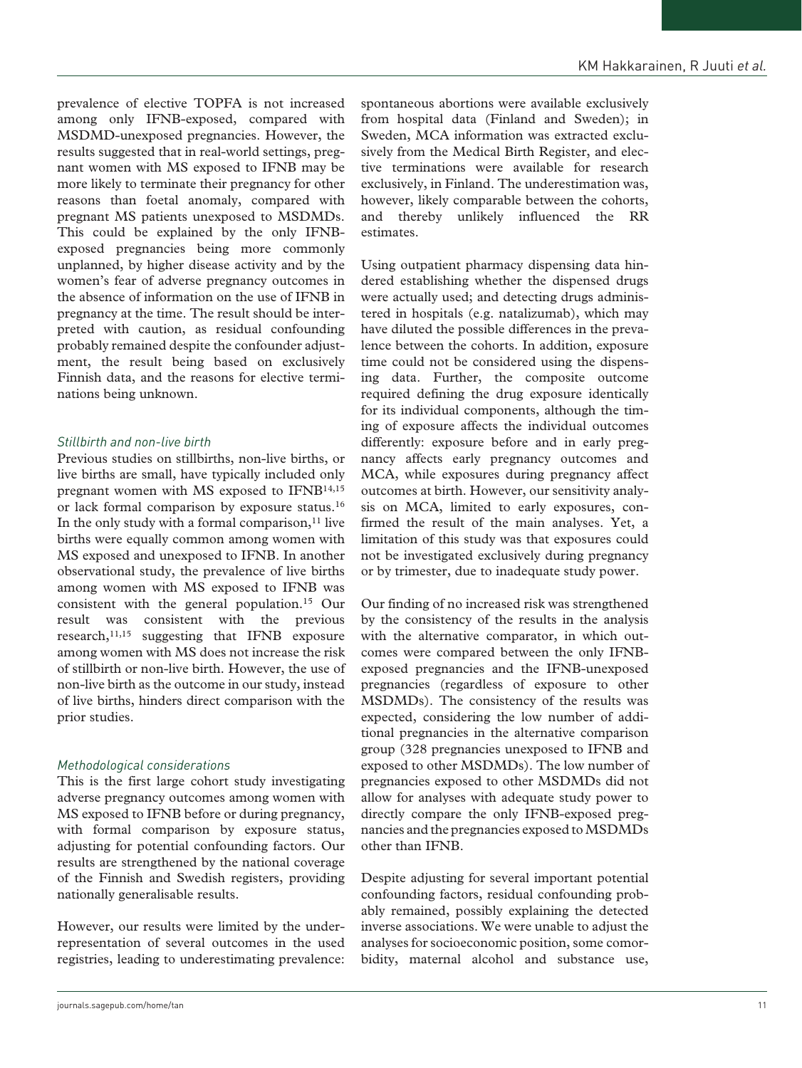prevalence of elective TOPFA is not increased among only IFNB-exposed, compared with MSDMD-unexposed pregnancies. However, the results suggested that in real-world settings, pregnant women with MS exposed to IFNB may be more likely to terminate their pregnancy for other reasons than foetal anomaly, compared with pregnant MS patients unexposed to MSDMDs. This could be explained by the only IFNBexposed pregnancies being more commonly unplanned, by higher disease activity and by the women's fear of adverse pregnancy outcomes in the absence of information on the use of IFNB in pregnancy at the time. The result should be interpreted with caution, as residual confounding probably remained despite the confounder adjustment, the result being based on exclusively Finnish data, and the reasons for elective terminations being unknown.

## *Stillbirth and non-live birth*

Previous studies on stillbirths, non-live births, or live births are small, have typically included only pregnant women with MS exposed to IFNB14,15 or lack formal comparison by exposure status.16 In the only study with a formal comparison, $11$  live births were equally common among women with MS exposed and unexposed to IFNB. In another observational study, the prevalence of live births among women with MS exposed to IFNB was consistent with the general population.15 Our result was consistent with the previous research,<sup>11,15</sup> suggesting that IFNB exposure among women with MS does not increase the risk of stillbirth or non-live birth. However, the use of non-live birth as the outcome in our study, instead of live births, hinders direct comparison with the prior studies.

#### *Methodological considerations*

This is the first large cohort study investigating adverse pregnancy outcomes among women with MS exposed to IFNB before or during pregnancy, with formal comparison by exposure status, adjusting for potential confounding factors. Our results are strengthened by the national coverage of the Finnish and Swedish registers, providing nationally generalisable results.

However, our results were limited by the underrepresentation of several outcomes in the used registries, leading to underestimating prevalence: spontaneous abortions were available exclusively from hospital data (Finland and Sweden); in Sweden, MCA information was extracted exclusively from the Medical Birth Register, and elective terminations were available for research exclusively, in Finland. The underestimation was, however, likely comparable between the cohorts, and thereby unlikely influenced the RR estimates.

Using outpatient pharmacy dispensing data hindered establishing whether the dispensed drugs were actually used; and detecting drugs administered in hospitals (e.g. natalizumab), which may have diluted the possible differences in the prevalence between the cohorts. In addition, exposure time could not be considered using the dispensing data. Further, the composite outcome required defining the drug exposure identically for its individual components, although the timing of exposure affects the individual outcomes differently: exposure before and in early pregnancy affects early pregnancy outcomes and MCA, while exposures during pregnancy affect outcomes at birth. However, our sensitivity analysis on MCA, limited to early exposures, confirmed the result of the main analyses. Yet, a limitation of this study was that exposures could not be investigated exclusively during pregnancy or by trimester, due to inadequate study power.

Our finding of no increased risk was strengthened by the consistency of the results in the analysis with the alternative comparator, in which outcomes were compared between the only IFNBexposed pregnancies and the IFNB-unexposed pregnancies (regardless of exposure to other MSDMDs). The consistency of the results was expected, considering the low number of additional pregnancies in the alternative comparison group (328 pregnancies unexposed to IFNB and exposed to other MSDMDs). The low number of pregnancies exposed to other MSDMDs did not allow for analyses with adequate study power to directly compare the only IFNB-exposed pregnancies and the pregnancies exposed to MSDMDs other than IFNB.

Despite adjusting for several important potential confounding factors, residual confounding probably remained, possibly explaining the detected inverse associations. We were unable to adjust the analyses for socioeconomic position, some comorbidity, maternal alcohol and substance use,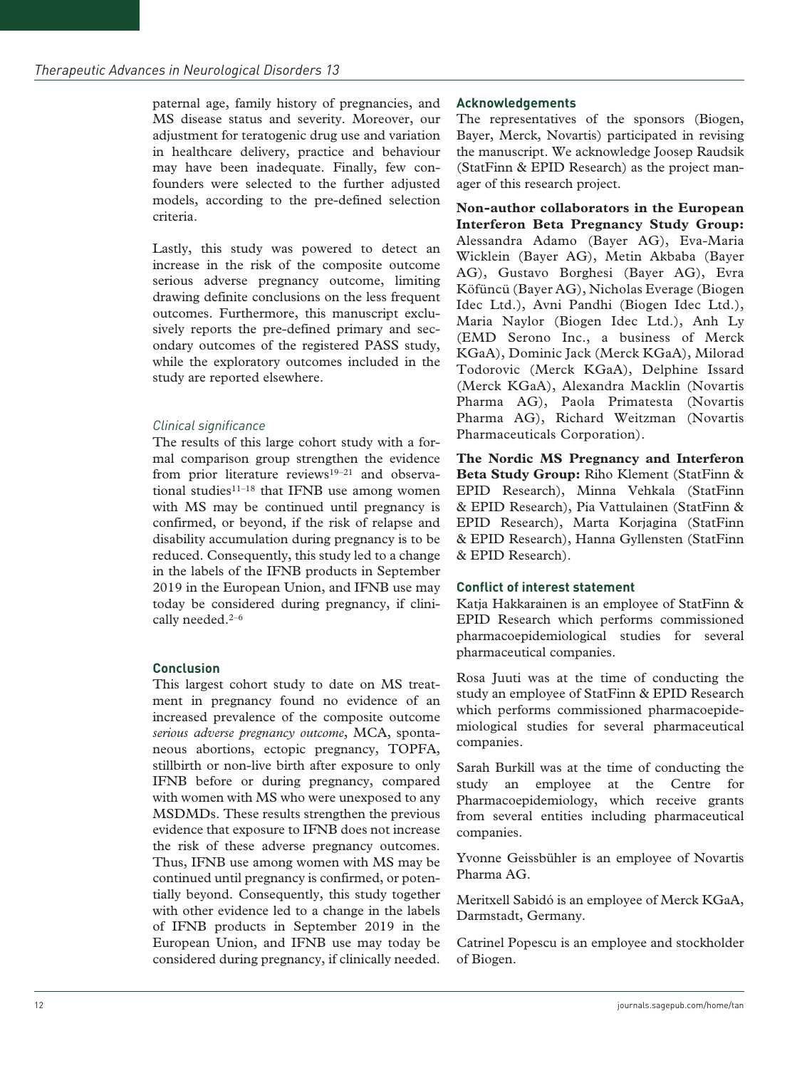paternal age, family history of pregnancies, and MS disease status and severity. Moreover, our adjustment for teratogenic drug use and variation in healthcare delivery, practice and behaviour may have been inadequate. Finally, few confounders were selected to the further adjusted models, according to the pre-defined selection criteria.

Lastly, this study was powered to detect an increase in the risk of the composite outcome serious adverse pregnancy outcome, limiting drawing definite conclusions on the less frequent outcomes. Furthermore, this manuscript exclusively reports the pre-defined primary and secondary outcomes of the registered PASS study, while the exploratory outcomes included in the study are reported elsewhere.

## *Clinical significance*

The results of this large cohort study with a formal comparison group strengthen the evidence from prior literature reviews<sup>19-21</sup> and observational studies $11-18$  that IFNB use among women with MS may be continued until pregnancy is confirmed, or beyond, if the risk of relapse and disability accumulation during pregnancy is to be reduced. Consequently, this study led to a change in the labels of the IFNB products in September 2019 in the European Union, and IFNB use may today be considered during pregnancy, if clinically needed.<sup>2-6</sup>

## **Conclusion**

This largest cohort study to date on MS treatment in pregnancy found no evidence of an increased prevalence of the composite outcome *serious adverse pregnancy outcome*, MCA, spontaneous abortions, ectopic pregnancy, TOPFA, stillbirth or non-live birth after exposure to only IFNB before or during pregnancy, compared with women with MS who were unexposed to any MSDMDs. These results strengthen the previous evidence that exposure to IFNB does not increase the risk of these adverse pregnancy outcomes. Thus, IFNB use among women with MS may be continued until pregnancy is confirmed, or potentially beyond. Consequently, this study together with other evidence led to a change in the labels of IFNB products in September 2019 in the European Union, and IFNB use may today be considered during pregnancy, if clinically needed.

#### **Acknowledgements**

The representatives of the sponsors (Biogen, Bayer, Merck, Novartis) participated in revising the manuscript. We acknowledge Joosep Raudsik (StatFinn & EPID Research) as the project manager of this research project.

**Non-author collaborators in the European Interferon Beta Pregnancy Study Group:** Alessandra Adamo (Bayer AG), Eva-Maria Wicklein (Bayer AG), Metin Akbaba (Bayer AG), Gustavo Borghesi (Bayer AG), Evra Köfüncü (Bayer AG), Nicholas Everage (Biogen Idec Ltd.), Avni Pandhi (Biogen Idec Ltd.), Maria Naylor (Biogen Idec Ltd.), Anh Ly (EMD Serono Inc., a business of Merck KGaA), Dominic Jack (Merck KGaA), Milorad Todorovic (Merck KGaA), Delphine Issard (Merck KGaA), Alexandra Macklin (Novartis Pharma AG), Paola Primatesta (Novartis Pharma AG), Richard Weitzman (Novartis Pharmaceuticals Corporation).

**The Nordic MS Pregnancy and Interferon Beta Study Group:** Riho Klement (StatFinn & EPID Research), Minna Vehkala (StatFinn & EPID Research), Pia Vattulainen (StatFinn & EPID Research), Marta Korjagina (StatFinn & EPID Research), Hanna Gyllensten (StatFinn & EPID Research).

## **Conflict of interest statement**

Katja Hakkarainen is an employee of StatFinn & EPID Research which performs commissioned pharmacoepidemiological studies for several pharmaceutical companies.

Rosa Juuti was at the time of conducting the study an employee of StatFinn & EPID Research which performs commissioned pharmacoepidemiological studies for several pharmaceutical companies.

Sarah Burkill was at the time of conducting the study an employee at the Centre for Pharmacoepidemiology, which receive grants from several entities including pharmaceutical companies.

Yvonne Geissbühler is an employee of Novartis Pharma AG.

Meritxell Sabidó is an employee of Merck KGaA, Darmstadt, Germany.

Catrinel Popescu is an employee and stockholder of Biogen.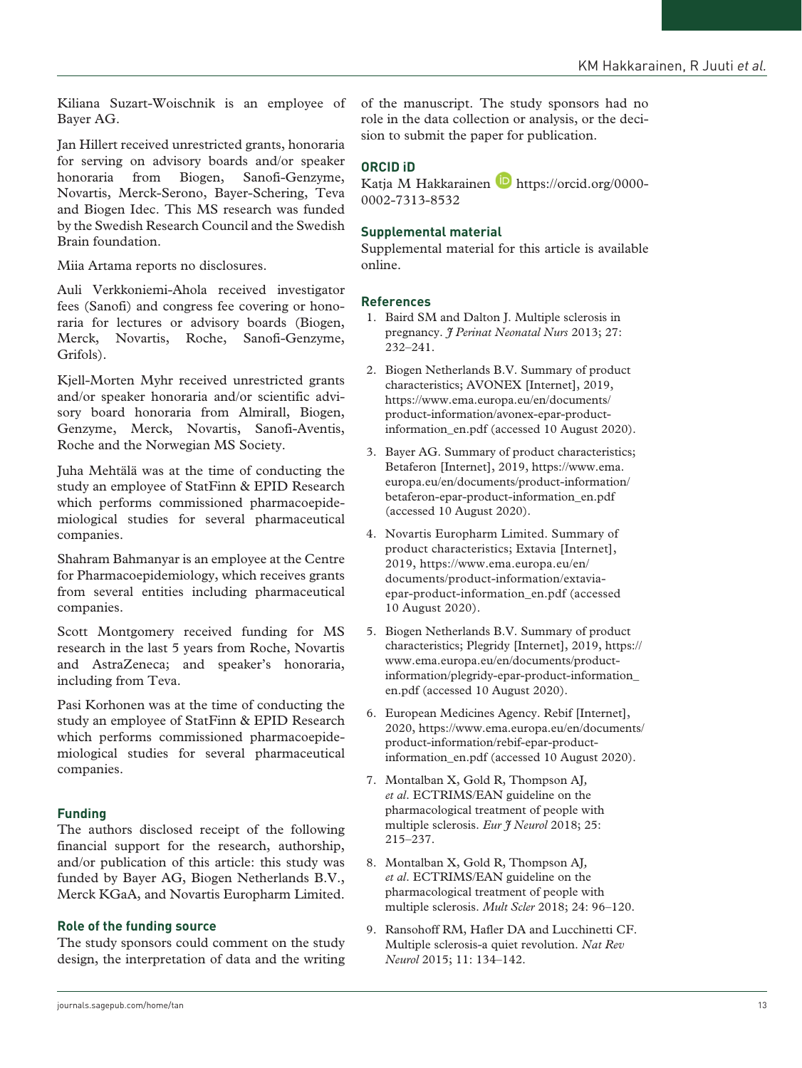Kiliana Suzart-Woischnik is an employee of Bayer AG.

Jan Hillert received unrestricted grants, honoraria for serving on advisory boards and/or speaker honoraria from Biogen, Sanofi-Genzyme, Novartis, Merck-Serono, Bayer-Schering, Teva and Biogen Idec. This MS research was funded by the Swedish Research Council and the Swedish Brain foundation.

Miia Artama reports no disclosures.

Auli Verkkoniemi-Ahola received investigator fees (Sanofi) and congress fee covering or honoraria for lectures or advisory boards (Biogen, Merck, Novartis, Roche, Sanofi-Genzyme, Grifols).

Kjell-Morten Myhr received unrestricted grants and/or speaker honoraria and/or scientific advisory board honoraria from Almirall, Biogen, Genzyme, Merck, Novartis, Sanofi-Aventis, Roche and the Norwegian MS Society.

Juha Mehtälä was at the time of conducting the study an employee of StatFinn & EPID Research which performs commissioned pharmacoepidemiological studies for several pharmaceutical companies.

Shahram Bahmanyar is an employee at the Centre for Pharmacoepidemiology, which receives grants from several entities including pharmaceutical companies.

Scott Montgomery received funding for MS research in the last 5 years from Roche, Novartis and AstraZeneca; and speaker's honoraria, including from Teva.

Pasi Korhonen was at the time of conducting the study an employee of StatFinn & EPID Research which performs commissioned pharmacoepidemiological studies for several pharmaceutical companies.

# **Funding**

The authors disclosed receipt of the following financial support for the research, authorship, and/or publication of this article: this study was funded by Bayer AG, Biogen Netherlands B.V., Merck KGaA, and Novartis Europharm Limited.

## **Role of the funding source**

The study sponsors could comment on the study design, the interpretation of data and the writing of the manuscript. The study sponsors had no role in the data collection or analysis, or the decision to submit the paper for publication.

# **ORCID iD**

Katja M Hakkarainen D [https://orcid.org/0000-](https://orcid.org/0000-0002-7313-8532) [0002-7313-8532](https://orcid.org/0000-0002-7313-8532)

## **Supplemental material**

Supplemental material for this article is available online.

## **References**

- 1. Baird SM and Dalton J. Multiple sclerosis in pregnancy. *J Perinat Neonatal Nurs* 2013; 27: 232–241.
- 2. Biogen Netherlands B.V. Summary of product characteristics; AVONEX [Internet], 2019, [https://www.ema.europa.eu/en/documents/](https://www.ema.europa.eu/en/documents/product-information/avonex-epar-product-information_en.pdf) [product-information/avonex-epar-product](https://www.ema.europa.eu/en/documents/product-information/avonex-epar-product-information_en.pdf)[information\\_en.pdf](https://www.ema.europa.eu/en/documents/product-information/avonex-epar-product-information_en.pdf) (accessed 10 August 2020).
- 3. Bayer AG. Summary of product characteristics; Betaferon [Internet], 2019, [https://www.ema.](https://www.ema.europa.eu/en/documents/product-information/betaferon-epar-product-information_en.pdf) [europa.eu/en/documents/product-information/](https://www.ema.europa.eu/en/documents/product-information/betaferon-epar-product-information_en.pdf) [betaferon-epar-product-information\\_en.pdf](https://www.ema.europa.eu/en/documents/product-information/betaferon-epar-product-information_en.pdf)  (accessed 10 August 2020).
- 4. Novartis Europharm Limited. Summary of product characteristics; Extavia [Internet], 2019, [https://www.ema.europa.eu/en/](https://www.ema.europa.eu/en/documents/product-information/extavia-epar-product-information_en.pdf) [documents/product-information/extavia](https://www.ema.europa.eu/en/documents/product-information/extavia-epar-product-information_en.pdf)[epar-product-information\\_en.pdf](https://www.ema.europa.eu/en/documents/product-information/extavia-epar-product-information_en.pdf) (accessed 10 August 2020).
- 5. Biogen Netherlands B.V. Summary of product characteristics; Plegridy [Internet], 2019, [https://](https://www.ema.europa.eu/en/documents/product-information/plegridy-epar-product-information_en.pdf) [www.ema.europa.eu/en/documents/product](https://www.ema.europa.eu/en/documents/product-information/plegridy-epar-product-information_en.pdf)[information/plegridy-epar-product-information\\_](https://www.ema.europa.eu/en/documents/product-information/plegridy-epar-product-information_en.pdf) [en.pdf](https://www.ema.europa.eu/en/documents/product-information/plegridy-epar-product-information_en.pdf) (accessed 10 August 2020).
- 6. European Medicines Agency. Rebif [Internet], 2020, [https://www.ema.europa.eu/en/documents/](https://www.ema.europa.eu/en/documents/product-information/rebif-epar-product-information_en.pdf) [product-information/rebif-epar-product](https://www.ema.europa.eu/en/documents/product-information/rebif-epar-product-information_en.pdf)[information\\_en.pdf](https://www.ema.europa.eu/en/documents/product-information/rebif-epar-product-information_en.pdf) (accessed 10 August 2020).
- 7. Montalban X, Gold R, Thompson AJ*, et al*. ECTRIMS/EAN guideline on the pharmacological treatment of people with multiple sclerosis. *Eur J Neurol* 2018; 25: 215–237.
- 8. Montalban X, Gold R, Thompson AJ*, et al*. ECTRIMS/EAN guideline on the pharmacological treatment of people with multiple sclerosis. *Mult Scler* 2018; 24: 96–120.
- 9. Ransohoff RM, Hafler DA and Lucchinetti CF. Multiple sclerosis-a quiet revolution. *Nat Rev Neurol* 2015; 11: 134–142.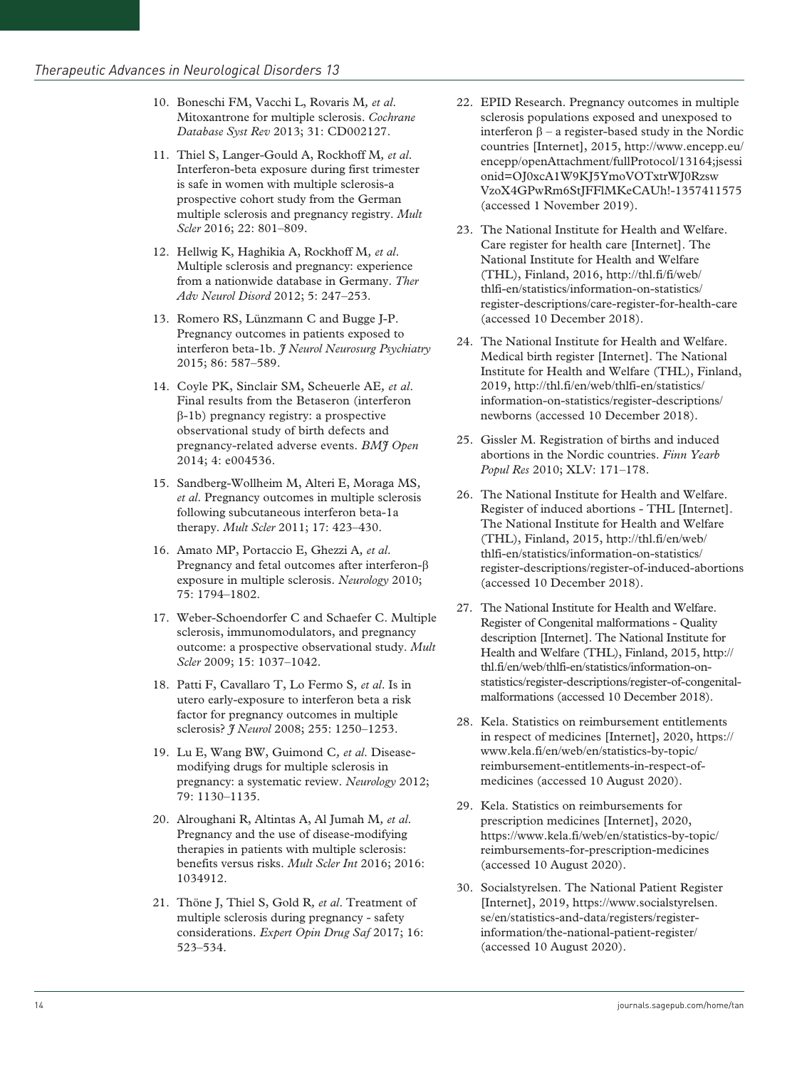- 10. Boneschi FM, Vacchi L, Rovaris M*, et al*. Mitoxantrone for multiple sclerosis. *Cochrane Database Syst Rev* 2013; 31: CD002127.
- 11. Thiel S, Langer-Gould A, Rockhoff M*, et al*. Interferon-beta exposure during first trimester is safe in women with multiple sclerosis-a prospective cohort study from the German multiple sclerosis and pregnancy registry. *Mult Scler* 2016; 22: 801–809.
- 12. Hellwig K, Haghikia A, Rockhoff M*, et al*. Multiple sclerosis and pregnancy: experience from a nationwide database in Germany. *Ther Adv Neurol Disord* 2012; 5: 247–253.
- 13. Romero RS, Lünzmann C and Bugge J-P. Pregnancy outcomes in patients exposed to interferon beta-1b. *J Neurol Neurosurg Psychiatry* 2015; 86: 587–589.
- 14. Coyle PK, Sinclair SM, Scheuerle AE*, et al*. Final results from the Betaseron (interferon β-1b) pregnancy registry: a prospective observational study of birth defects and pregnancy-related adverse events. *BMJ Open* 2014; 4: e004536.
- 15. Sandberg-Wollheim M, Alteri E, Moraga MS*, et al*. Pregnancy outcomes in multiple sclerosis following subcutaneous interferon beta-1a therapy. *Mult Scler* 2011; 17: 423–430.
- 16. Amato MP, Portaccio E, Ghezzi A*, et al*. Pregnancy and fetal outcomes after interferon-β exposure in multiple sclerosis. *Neurology* 2010; 75: 1794–1802.
- 17. Weber-Schoendorfer C and Schaefer C. Multiple sclerosis, immunomodulators, and pregnancy outcome: a prospective observational study. *Mult Scler* 2009; 15: 1037–1042.
- 18. Patti F, Cavallaro T, Lo Fermo S*, et al*. Is in utero early-exposure to interferon beta a risk factor for pregnancy outcomes in multiple sclerosis? *J Neurol* 2008; 255: 1250–1253.
- 19. Lu E, Wang BW, Guimond C*, et al*. Diseasemodifying drugs for multiple sclerosis in pregnancy: a systematic review. *Neurology* 2012; 79: 1130–1135.
- 20. Alroughani R, Altintas A, Al Jumah M*, et al*. Pregnancy and the use of disease-modifying therapies in patients with multiple sclerosis: benefits versus risks. *Mult Scler Int* 2016; 2016: 1034912.
- 21. Thöne J, Thiel S, Gold R*, et al*. Treatment of multiple sclerosis during pregnancy - safety considerations. *Expert Opin Drug Saf* 2017; 16: 523–534.
- 22. EPID Research. Pregnancy outcomes in multiple sclerosis populations exposed and unexposed to interferon β – a register-based study in the Nordic countries [Internet], 2015, [http://www.encepp.eu/](http://www.encepp.eu/encepp/openAttachment/fullProtocol/13164;jsessionid=OJ0xcA1W9KJ5YmoVOTxtrWJ0RzswVzoX4GPwRm6StJFFlMKeCAUh!-1357411575) [encepp/openAttachment/fullProtocol/13164;jsessi](http://www.encepp.eu/encepp/openAttachment/fullProtocol/13164;jsessionid=OJ0xcA1W9KJ5YmoVOTxtrWJ0RzswVzoX4GPwRm6StJFFlMKeCAUh!-1357411575) [onid=OJ0xcA1W9KJ5YmoVOTxtrWJ0Rzsw](http://www.encepp.eu/encepp/openAttachment/fullProtocol/13164;jsessionid=OJ0xcA1W9KJ5YmoVOTxtrWJ0RzswVzoX4GPwRm6StJFFlMKeCAUh!-1357411575) [VzoX4GPwRm6StJFFlMKeCAUh!-1357411575](http://www.encepp.eu/encepp/openAttachment/fullProtocol/13164;jsessionid=OJ0xcA1W9KJ5YmoVOTxtrWJ0RzswVzoX4GPwRm6StJFFlMKeCAUh!-1357411575) (accessed 1 November 2019).
- 23. The National Institute for Health and Welfare. Care register for health care [Internet]. The National Institute for Health and Welfare (THL), Finland, 2016, [http://thl.fi/fi/web/](http://thl.fi/fi/web/thlfi-en/statistics/information-on-statistics/register-descriptions/care-register-for-health-care) [thlfi-en/statistics/information-on-statistics/](http://thl.fi/fi/web/thlfi-en/statistics/information-on-statistics/register-descriptions/care-register-for-health-care) [register-descriptions/care-register-for-health-care](http://thl.fi/fi/web/thlfi-en/statistics/information-on-statistics/register-descriptions/care-register-for-health-care)  (accessed 10 December 2018).
- 24. The National Institute for Health and Welfare. Medical birth register [Internet]. The National Institute for Health and Welfare (THL), Finland, 2019, [http://thl.fi/en/web/thlfi-en/statistics/](http://thl.fi/en/web/thlfi-en/statistics/information-on-statistics/register-descriptions/newborns) [information-on-statistics/register-descriptions/](http://thl.fi/en/web/thlfi-en/statistics/information-on-statistics/register-descriptions/newborns) [newborns](http://thl.fi/en/web/thlfi-en/statistics/information-on-statistics/register-descriptions/newborns) (accessed 10 December 2018).
- 25. Gissler M. Registration of births and induced abortions in the Nordic countries. *Finn Yearb Popul Res* 2010; XLV: 171–178.
- 26. The National Institute for Health and Welfare. Register of induced abortions - THL [Internet]. The National Institute for Health and Welfare (THL), Finland, 2015, [http://thl.fi/en/web/](http://thl.fi/en/web/thlfi-en/statistics/information-on-statistics/register-descriptions/register-of-induced-abortions) [thlfi-en/statistics/information-on-statistics/](http://thl.fi/en/web/thlfi-en/statistics/information-on-statistics/register-descriptions/register-of-induced-abortions) [register-descriptions/register-of-induced-abortions](http://thl.fi/en/web/thlfi-en/statistics/information-on-statistics/register-descriptions/register-of-induced-abortions)  (accessed 10 December 2018).
- 27. The National Institute for Health and Welfare. Register of Congenital malformations - Quality description [Internet]. The National Institute for Health and Welfare (THL), Finland, 2015, [http://](http://thl.fi/en/web/thlfi-en/statistics/information-on-statistics/register-descriptions/register-of-congenital-malformations) [thl.fi/en/web/thlfi-en/statistics/information-on](http://thl.fi/en/web/thlfi-en/statistics/information-on-statistics/register-descriptions/register-of-congenital-malformations)[statistics/register-descriptions/register-of-congenital](http://thl.fi/en/web/thlfi-en/statistics/information-on-statistics/register-descriptions/register-of-congenital-malformations)[malformations](http://thl.fi/en/web/thlfi-en/statistics/information-on-statistics/register-descriptions/register-of-congenital-malformations) (accessed 10 December 2018).
- 28. Kela. Statistics on reimbursement entitlements in respect of medicines [Internet], 2020, [https://](https://www.kela.fi/en/web/en/statistics-by-topic/reimbursement-entitlements-in-respect-of-medicines) [www.kela.fi/en/web/en/statistics-by-topic/](https://www.kela.fi/en/web/en/statistics-by-topic/reimbursement-entitlements-in-respect-of-medicines) [reimbursement-entitlements-in-respect-of](https://www.kela.fi/en/web/en/statistics-by-topic/reimbursement-entitlements-in-respect-of-medicines)[medicines](https://www.kela.fi/en/web/en/statistics-by-topic/reimbursement-entitlements-in-respect-of-medicines) (accessed 10 August 2020).
- 29. Kela. Statistics on reimbursements for prescription medicines [Internet], 2020, [https://www.kela.fi/web/en/statistics-by-topic/](https://www.kela.fi/web/en/statistics-by-topic/reimbursements-for-prescription-medicines) [reimbursements-for-prescription-medicines](https://www.kela.fi/web/en/statistics-by-topic/reimbursements-for-prescription-medicines)  (accessed 10 August 2020).
- 30. Socialstyrelsen. The National Patient Register [Internet], 2019, [https://www.socialstyrelsen.](https://www.socialstyrelsen.se/en/statistics-and-data/registers/register-information/the-national-patient-register/) [se/en/statistics-and-data/registers/register](https://www.socialstyrelsen.se/en/statistics-and-data/registers/register-information/the-national-patient-register/)[information/the-national-patient-register/](https://www.socialstyrelsen.se/en/statistics-and-data/registers/register-information/the-national-patient-register/)  (accessed 10 August 2020).